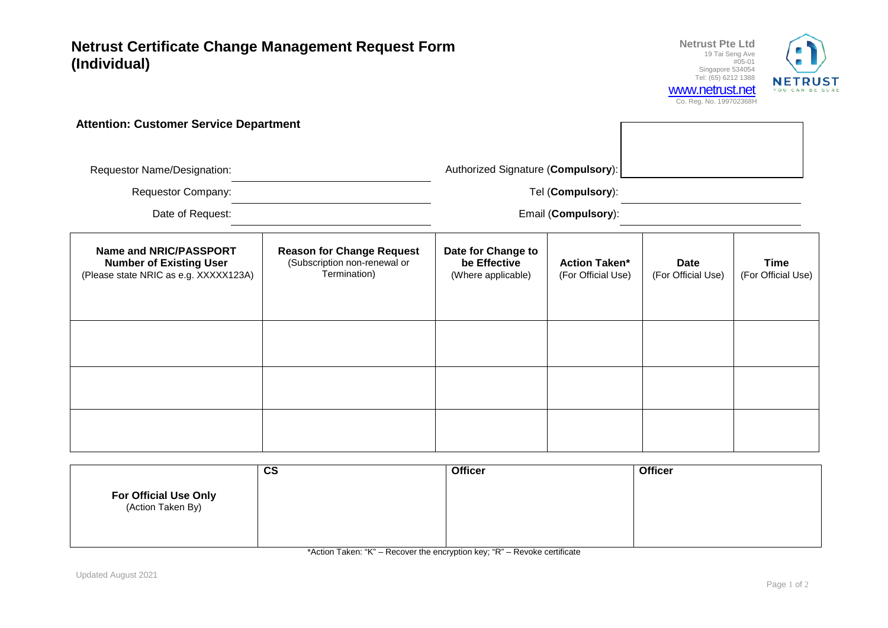**Netrust Certificate Change Management Request Form (Individual)**



|                                                                                                   |                                                                                  |                                                          |                                            | <b>UU. NUY. INU. 1997 UZJUOIT</b> |                                   |  |
|---------------------------------------------------------------------------------------------------|----------------------------------------------------------------------------------|----------------------------------------------------------|--------------------------------------------|-----------------------------------|-----------------------------------|--|
| <b>Attention: Customer Service Department</b>                                                     |                                                                                  |                                                          |                                            |                                   |                                   |  |
| Requestor Name/Designation:                                                                       |                                                                                  | Authorized Signature (Compulsory):                       |                                            |                                   |                                   |  |
| <b>Requestor Company:</b>                                                                         |                                                                                  | Tel (Compulsory):                                        |                                            |                                   |                                   |  |
| Date of Request:                                                                                  |                                                                                  | Email (Compulsory):                                      |                                            |                                   |                                   |  |
| Name and NRIC/PASSPORT<br><b>Number of Existing User</b><br>(Please state NRIC as e.g. XXXXX123A) | <b>Reason for Change Request</b><br>(Subscription non-renewal or<br>Termination) | Date for Change to<br>be Effective<br>(Where applicable) | <b>Action Taken*</b><br>(For Official Use) | Date<br>(For Official Use)        | <b>Time</b><br>(For Official Use) |  |
|                                                                                                   |                                                                                  |                                                          |                                            |                                   |                                   |  |
|                                                                                                   |                                                                                  |                                                          |                                            |                                   |                                   |  |
|                                                                                                   |                                                                                  |                                                          |                                            |                                   |                                   |  |

|                                                   | $\mathbf{c}\mathbf{s}$ | <b>Officer</b> | <b>Officer</b> |
|---------------------------------------------------|------------------------|----------------|----------------|
| <b>For Official Use Only</b><br>(Action Taken By) |                        |                |                |

\*Action Taken: "K" – Recover the encryption key; "R" – Revoke certificate